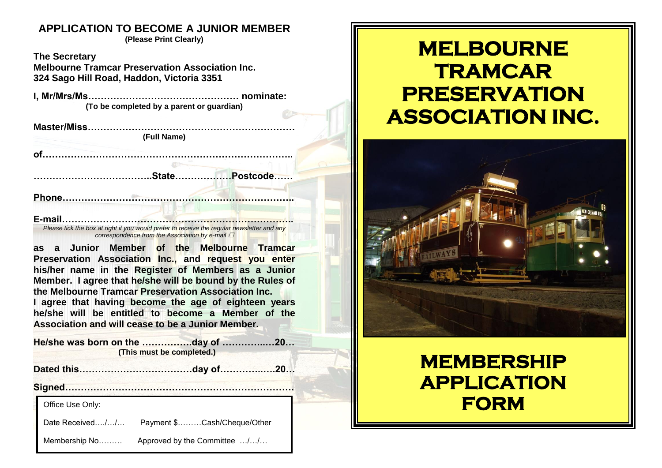### **APPLICATION TO BECOME A JUNIOR MEMBER**

**(Please Print Clearly)**

**The Secretary Melbourne Tramcar Preservation Association Inc. 324 Sago Hill Road, Haddon, Victoria 3351**

**I, Mr/Mrs/Ms………………………………………… nominate: (To be completed by a parent or guardian)**

**Master/Miss………………………………………………………… (Full Name) of…………………………………………………………………….. ………………………………..State………………Postcode……**

**Phone………………………………………………………………..**

**E-mail………………………………………………………………..** *Please tick the box at right if you would prefer to receive the regular newsletter and any correspondence from the Association by e-mail* 

**as a Junior Member of the Melbourne Tramcar Preservation Association Inc., and request you enter his/her name in the Register of Members as a Junior Member. I agree that he/she will be bound by the Rules of the Melbourne Tramcar Preservation Association Inc. I agree that having become the age of eighteen years he/she will be entitled to become a Member of the Association and will cease to be a Junior Member.**

**He/she was born on the …………….day of …………..…20… (This must be completed.)**

**Dated this………………………………day of…………..….20…**

**Signed……………………………………………………………….**

Office Use Only:

Date Received…./…/… Payment \$………Cash/Cheque/Other

Membership No……… Approved by the Committee …/…/…

# **MELBOURNE TRAMCAR PRESERVATION ASSOCIATION INC.**



## **MEMBERSHIP APPLICATION FORM**